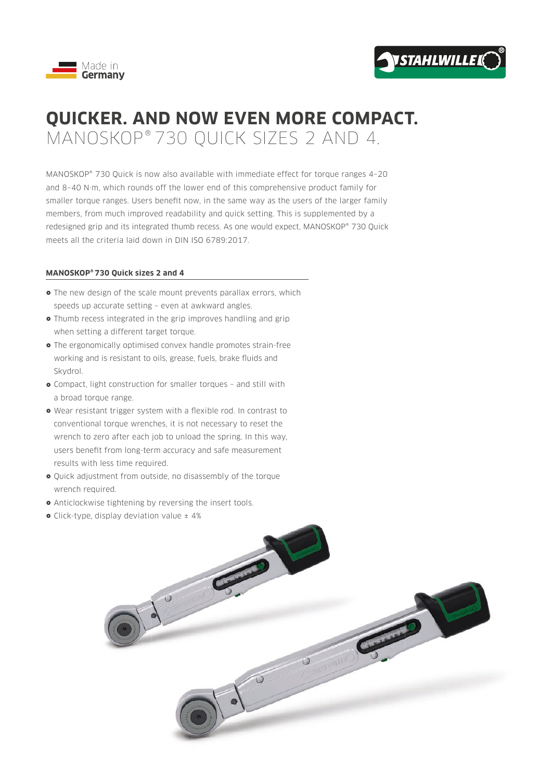



## **QUICKER. AND NOW EVEN MORE COMPACT.** MANOSKOP® 730 QUICK SIZES 2 AND 4.

MANOSKOP® 730 Quick is now also available with immediate effect for torque ranges 4–20 and 8–40 N·m, which rounds off the lower end of this comprehensive product family for smaller torque ranges. Users benefit now, in the same way as the users of the larger family members, from much improved readability and quick setting. This is supplemented by a redesigned grip and its integrated thumb recess. As one would expect, MANOSKOP® 730 Quick meets all the criteria laid down in DIN ISO 6789:2017.

## **MANOSKOP® 730 Quick sizes 2 and 4**

- The new design of the scale mount prevents parallax errors, which speeds up accurate setting – even at awkward angles.
- Thumb recess integrated in the grip improves handling and grip when setting a different target torque.
- The ergonomically optimised convex handle promotes strain-free working and is resistant to oils, grease, fuels, brake fluids and Skydrol.
- Compact, light construction for smaller torques and still with a broad torque range.
- Wear resistant trigger system with a flexible rod. In contrast to conventional torque wrenches, it is not necessary to reset the wrench to zero after each job to unload the spring. In this way, users benefit from long-term accuracy and safe measurement results with less time required.
- Quick adjustment from outside, no disassembly of the torque wrench required.
- Anticlockwise tightening by reversing the insert tools.
- Click-type, display deviation value  $±$  4%